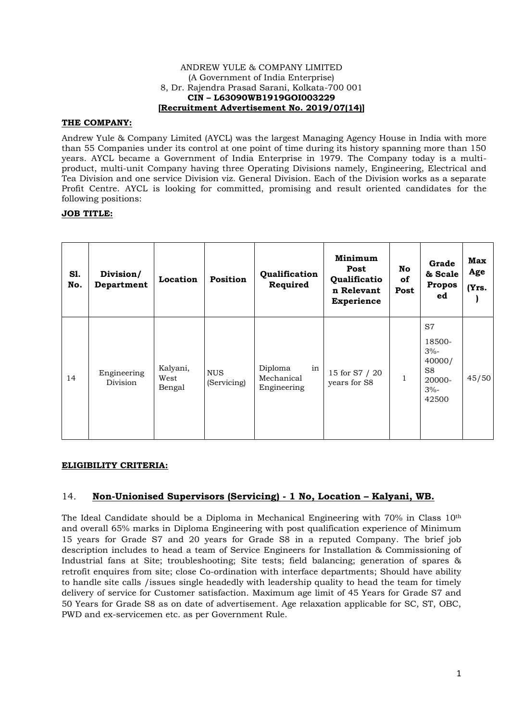#### ANDREW YULE & COMPANY LIMITED (A Government of India Enterprise) 8, Dr. Rajendra Prasad Sarani, Kolkata-700 001 **CIN – L63090WB1919GOI003229 [Recruitment Advertisement No. 2019/07(14)]**

#### **THE COMPANY:**

Andrew Yule & Company Limited (AYCL) was the largest Managing Agency House in India with more than 55 Companies under its control at one point of time during its history spanning more than 150 years. AYCL became a Government of India Enterprise in 1979. The Company today is a multiproduct, multi-unit Company having three Operating Divisions namely, Engineering, Electrical and Tea Division and one service Division viz. General Division. Each of the Division works as a separate Profit Centre. AYCL is looking for committed, promising and result oriented candidates for the following positions:

## **JOB TITLE:**

| Sl.<br>No. | Division/<br>Department | Location                   | Position                  | Qualification<br>Required                  | Minimum<br>Post<br>Qualificatio<br>n Relevant<br><b>Experience</b> | No<br><b>of</b><br>Post | Grade<br>& Scale<br><b>Propos</b><br>ed                                         | <b>Max</b><br>Age<br>(Yrs. |
|------------|-------------------------|----------------------------|---------------------------|--------------------------------------------|--------------------------------------------------------------------|-------------------------|---------------------------------------------------------------------------------|----------------------------|
| 14         | Engineering<br>Division | Kalyani,<br>West<br>Bengal | <b>NUS</b><br>(Servicing) | Diploma<br>in<br>Mechanical<br>Engineering | 15 for S7 / 20<br>years for S8                                     | 1                       | S7<br>18500-<br>$3% -$<br>40000/<br>S <sub>8</sub><br>20000-<br>$3% -$<br>42500 | 45/50                      |

#### **ELIGIBILITY CRITERIA:**

# 14. **Non-Unionised Supervisors (Servicing) - 1 No, Location – Kalyani, WB.**

The Ideal Candidate should be a Diploma in Mechanical Engineering with 70% in Class 10th and overall 65% marks in Diploma Engineering with post qualification experience of Minimum 15 years for Grade S7 and 20 years for Grade S8 in a reputed Company. The brief job description includes to head a team of Service Engineers for Installation & Commissioning of Industrial fans at Site; troubleshooting; Site tests; field balancing; generation of spares & retrofit enquires from site; close Co-ordination with interface departments; Should have ability to handle site calls /issues single headedly with leadership quality to head the team for timely delivery of service for Customer satisfaction. Maximum age limit of 45 Years for Grade S7 and 50 Years for Grade S8 as on date of advertisement. Age relaxation applicable for SC, ST, OBC, PWD and ex-servicemen etc. as per Government Rule.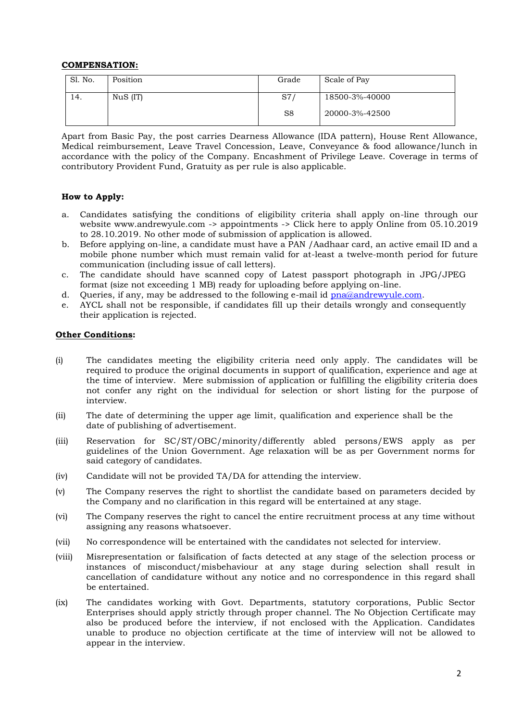## **COMPENSATION:**

| Sl. No. | Position | Grade | Scale of Pay   |
|---------|----------|-------|----------------|
| 14.     | NuS (IT) | S7    | 18500-3%-40000 |
|         |          | S8    | 20000-3%-42500 |

 Apart from Basic Pay, the post carries Dearness Allowance (IDA pattern), House Rent Allowance, Medical reimbursement, Leave Travel Concession, Leave, Conveyance & food allowance/lunch in accordance with the policy of the Company. Encashment of Privilege Leave. Coverage in terms of contributory Provident Fund, Gratuity as per rule is also applicable.

## **How to Apply:**

- a. Candidates satisfying the conditions of eligibility criteria shall apply on-line through our website www.andrewyule.com -> appointments -> Click here to apply Online from 05.10.2019 to 28.10.2019. No other mode of submission of application is allowed.
- b. Before applying on-line, a candidate must have a PAN /Aadhaar card, an active email ID and a mobile phone number which must remain valid for at-least a twelve-month period for future communication (including issue of call letters).
- c. The candidate should have scanned copy of Latest passport photograph in JPG/JPEG format (size not exceeding 1 MB) ready for uploading before applying on-line.
- d. Queries, if any, may be addressed to the following e-mail id [pna@andrewyule.com.](mailto:pna@andrewyule.com)
- e. AYCL shall not be responsible, if candidates fill up their details wrongly and consequently their application is rejected.

## **Other Conditions:**

- (i) The candidates meeting the eligibility criteria need only apply. The candidates will be required to produce the original documents in support of qualification, experience and age at the time of interview. Mere submission of application or fulfilling the eligibility criteria does not confer any right on the individual for selection or short listing for the purpose of interview.
- (ii) The date of determining the upper age limit, qualification and experience shall be the date of publishing of advertisement.
- (iii) Reservation for SC/ST/OBC/minority/differently abled persons/EWS apply as per guidelines of the Union Government. Age relaxation will be as per Government norms for said category of candidates.
- (iv) Candidate will not be provided TA/DA for attending the interview.
- (v) The Company reserves the right to shortlist the candidate based on parameters decided by the Company and no clarification in this regard will be entertained at any stage.
- (vi) The Company reserves the right to cancel the entire recruitment process at any time without assigning any reasons whatsoever.
- (vii) No correspondence will be entertained with the candidates not selected for interview.
- (viii) Misrepresentation or falsification of facts detected at any stage of the selection process or instances of misconduct/misbehaviour at any stage during selection shall result in cancellation of candidature without any notice and no correspondence in this regard shall be entertained.
- (ix) The candidates working with Govt. Departments, statutory corporations, Public Sector Enterprises should apply strictly through proper channel. The No Objection Certificate may also be produced before the interview, if not enclosed with the Application. Candidates unable to produce no objection certificate at the time of interview will not be allowed to appear in the interview.